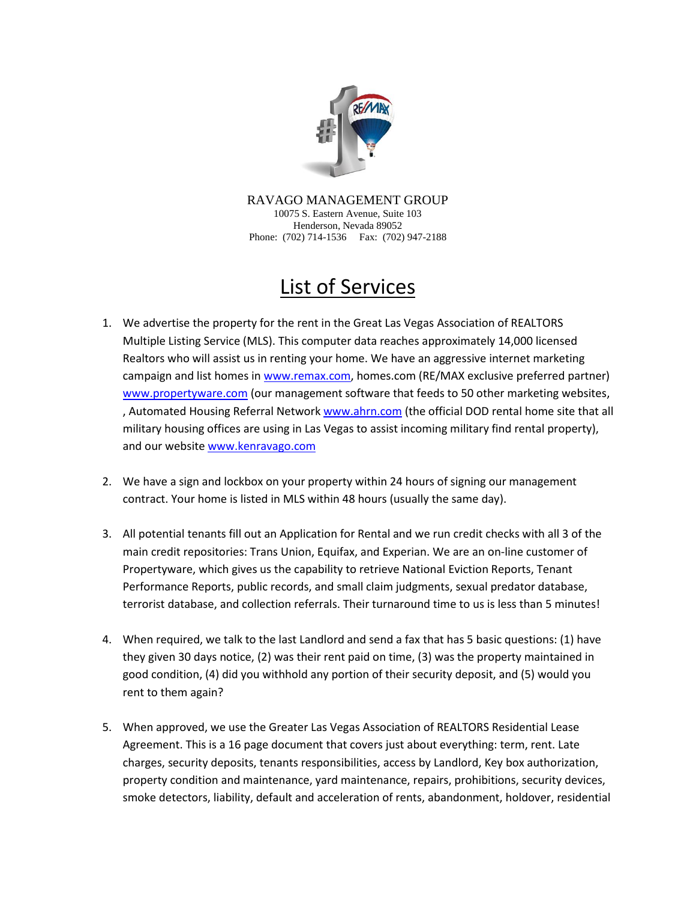

RAVAGO MANAGEMENT GROUP 10075 S. Eastern Avenue, Suite 103 Henderson, Nevada 89052 Phone: (702) 714-1536 Fax: (702) 947-2188

## List of Services

- 1. We advertise the property for the rent in the Great Las Vegas Association of REALTORS Multiple Listing Service (MLS). This computer data reaches approximately 14,000 licensed Realtors who will assist us in renting your home. We have an aggressive internet marketing campaign and list homes in [www.remax.com,](http://www.remax.com/) homes.com (RE/MAX exclusive preferred partner) [www.propertyware.com](http://www.propertyware.com/) (our management software that feeds to 50 other marketing websites, , Automated Housing Referral Networ[k www.ahrn.com](http://www.ahrn.com/) (the official DOD rental home site that all military housing offices are using in Las Vegas to assist incoming military find rental property), and our website [www.kenravago.com](http://www.kenravago.com/)
- 2. We have a sign and lockbox on your property within 24 hours of signing our management contract. Your home is listed in MLS within 48 hours (usually the same day).
- 3. All potential tenants fill out an Application for Rental and we run credit checks with all 3 of the main credit repositories: Trans Union, Equifax, and Experian. We are an on-line customer of Propertyware, which gives us the capability to retrieve National Eviction Reports, Tenant Performance Reports, public records, and small claim judgments, sexual predator database, terrorist database, and collection referrals. Their turnaround time to us is less than 5 minutes!
- 4. When required, we talk to the last Landlord and send a fax that has 5 basic questions: (1) have they given 30 days notice, (2) was their rent paid on time, (3) was the property maintained in good condition, (4) did you withhold any portion of their security deposit, and (5) would you rent to them again?
- 5. When approved, we use the Greater Las Vegas Association of REALTORS Residential Lease Agreement. This is a 16 page document that covers just about everything: term, rent. Late charges, security deposits, tenants responsibilities, access by Landlord, Key box authorization, property condition and maintenance, yard maintenance, repairs, prohibitions, security devices, smoke detectors, liability, default and acceleration of rents, abandonment, holdover, residential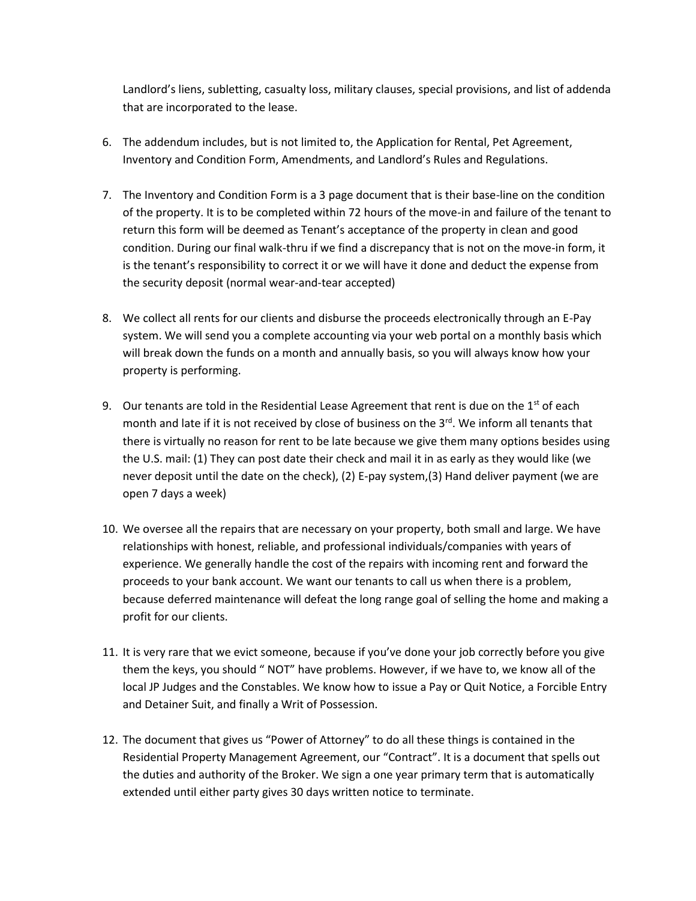Landlord's liens, subletting, casualty loss, military clauses, special provisions, and list of addenda that are incorporated to the lease.

- 6. The addendum includes, but is not limited to, the Application for Rental, Pet Agreement, Inventory and Condition Form, Amendments, and Landlord's Rules and Regulations.
- 7. The Inventory and Condition Form is a 3 page document that is their base-line on the condition of the property. It is to be completed within 72 hours of the move-in and failure of the tenant to return this form will be deemed as Tenant's acceptance of the property in clean and good condition. During our final walk-thru if we find a discrepancy that is not on the move-in form, it is the tenant's responsibility to correct it or we will have it done and deduct the expense from the security deposit (normal wear-and-tear accepted)
- 8. We collect all rents for our clients and disburse the proceeds electronically through an E-Pay system. We will send you a complete accounting via your web portal on a monthly basis which will break down the funds on a month and annually basis, so you will always know how your property is performing.
- 9. Our tenants are told in the Residential Lease Agreement that rent is due on the  $1<sup>st</sup>$  of each month and late if it is not received by close of business on the  $3<sup>rd</sup>$ . We inform all tenants that there is virtually no reason for rent to be late because we give them many options besides using the U.S. mail: (1) They can post date their check and mail it in as early as they would like (we never deposit until the date on the check), (2) E-pay system,(3) Hand deliver payment (we are open 7 days a week)
- 10. We oversee all the repairs that are necessary on your property, both small and large. We have relationships with honest, reliable, and professional individuals/companies with years of experience. We generally handle the cost of the repairs with incoming rent and forward the proceeds to your bank account. We want our tenants to call us when there is a problem, because deferred maintenance will defeat the long range goal of selling the home and making a profit for our clients.
- 11. It is very rare that we evict someone, because if you've done your job correctly before you give them the keys, you should " NOT" have problems. However, if we have to, we know all of the local JP Judges and the Constables. We know how to issue a Pay or Quit Notice, a Forcible Entry and Detainer Suit, and finally a Writ of Possession.
- 12. The document that gives us "Power of Attorney" to do all these things is contained in the Residential Property Management Agreement, our "Contract". It is a document that spells out the duties and authority of the Broker. We sign a one year primary term that is automatically extended until either party gives 30 days written notice to terminate.